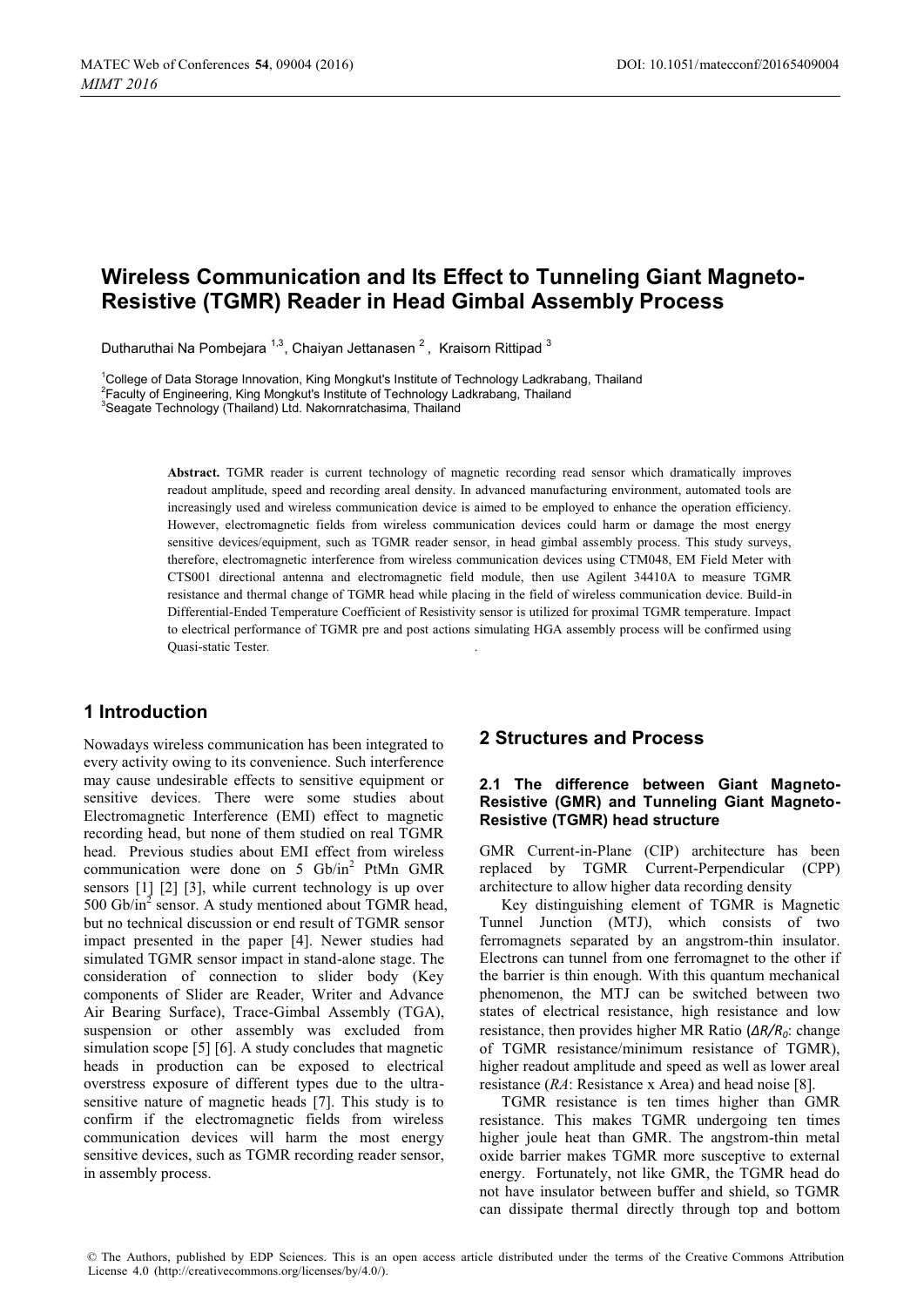# **Wireless Communication and Its Effect to Tunneling Giant Magneto-Resistive (TGMR) Reader in Head Gimbal Assembly Process**

Dutharuthai Na Pombejara <sup>1,3</sup>, Chaiyan Jettanasen <sup>2</sup>, Kraisorn Rittipad <sup>3</sup>

1 College of Data Storage Innovation, King Mongkut's Institute of Technology Ladkrabang, Thailand <sup>2</sup> Faculty of Engineering, King Mongkut's Institute of Technology Ladkrabang, Thailand <sup>3</sup><br><sup>3</sup> Sessate Technology (Thailand) Ltd. Nekerpretebesime, Thailand

<sup>3</sup>Seagate Technology (Thailand) Ltd. Nakornratchasima, Thailand

**Abstract.** TGMR reader is current technology of magnetic recording read sensor which dramatically improves readout amplitude, speed and recording areal density. In advanced manufacturing environment, automated tools are increasingly used and wireless communication device is aimed to be employed to enhance the operation efficiency. However, electromagnetic fields from wireless communication devices could harm or damage the most energy sensitive devices/equipment, such as TGMR reader sensor, in head gimbal assembly process. This study surveys, therefore, electromagnetic interference from wireless communication devices using CTM048, EM Field Meter with CTS001 directional antenna and electromagnetic field module, then use Agilent 34410A to measure TGMR resistance and thermal change of TGMR head while placing in the field of wireless communication device. Build-in Differential-Ended Temperature Coefficient of Resistivity sensor is utilized for proximal TGMR temperature. Impact to electrical performance of TGMR pre and post actions simulating HGA assembly process will be confirmed using Quasi-static Tester*.* .

## **1 Introduction**

Nowadays wireless communication has been integrated to every activity owing to its convenience. Such interference may cause undesirable effects to sensitive equipment or sensitive devices. There were some studies about Electromagnetic Interference (EMI) effect to magnetic recording head, but none of them studied on real TGMR head. Previous studies about EMI effect from wireless communication were done on 5  $Gb/in^2$  PtMn GMR sensors [1] [2] [3], while current technology is up over 500 Gb/in<sup>2</sup> sensor. A study mentioned about TGMR head, but no technical discussion or end result of TGMR sensor impact presented in the paper [4]. Newer studies had simulated TGMR sensor impact in stand-alone stage. The consideration of connection to slider body (Key components of Slider are Reader, Writer and Advance Air Bearing Surface), Trace-Gimbal Assembly (TGA), suspension or other assembly was excluded from simulation scope [5] [6]. A study concludes that magnetic heads in production can be exposed to electrical overstress exposure of different types due to the ultrasensitive nature of magnetic heads [7]. This study is to confirm if the electromagnetic fields from wireless communication devices will harm the most energy sensitive devices, such as TGMR recording reader sensor, in assembly process.

## **2 Structures and Process**

#### **2.1 The difference between Giant Magneto-Resistive (GMR) and Tunneling Giant Magneto-Resistive (TGMR) head structure**

GMR Current-in-Plane (CIP) architecture has been replaced by TGMR Current-Perpendicular (CPP) architecture to allow higher data recording density

Key distinguishing element of TGMR is Magnetic Tunnel Junction (MTJ), which consists of two ferromagnets separated by an angstrom-thin insulator. Electrons can tunnel from one ferromagnet to the other if the barrier is thin enough. With this quantum mechanical phenomenon, the MTJ can be switched between two states of electrical resistance, high resistance and low resistance, then provides higher MR Ratio (*ΔR/R0*: change of TGMR resistance/minimum resistance of TGMR), higher readout amplitude and speed as well as lower areal resistance (*RA*: Resistance x Area) and head noise [8].

TGMR resistance is ten times higher than GMR resistance. This makes TGMR undergoing ten times higher joule heat than GMR. The angstrom-thin metal oxide barrier makes TGMR more susceptive to external energy. Fortunately, not like GMR, the TGMR head do not have insulator between buffer and shield, so TGMR can dissipate thermal directly through top and bottom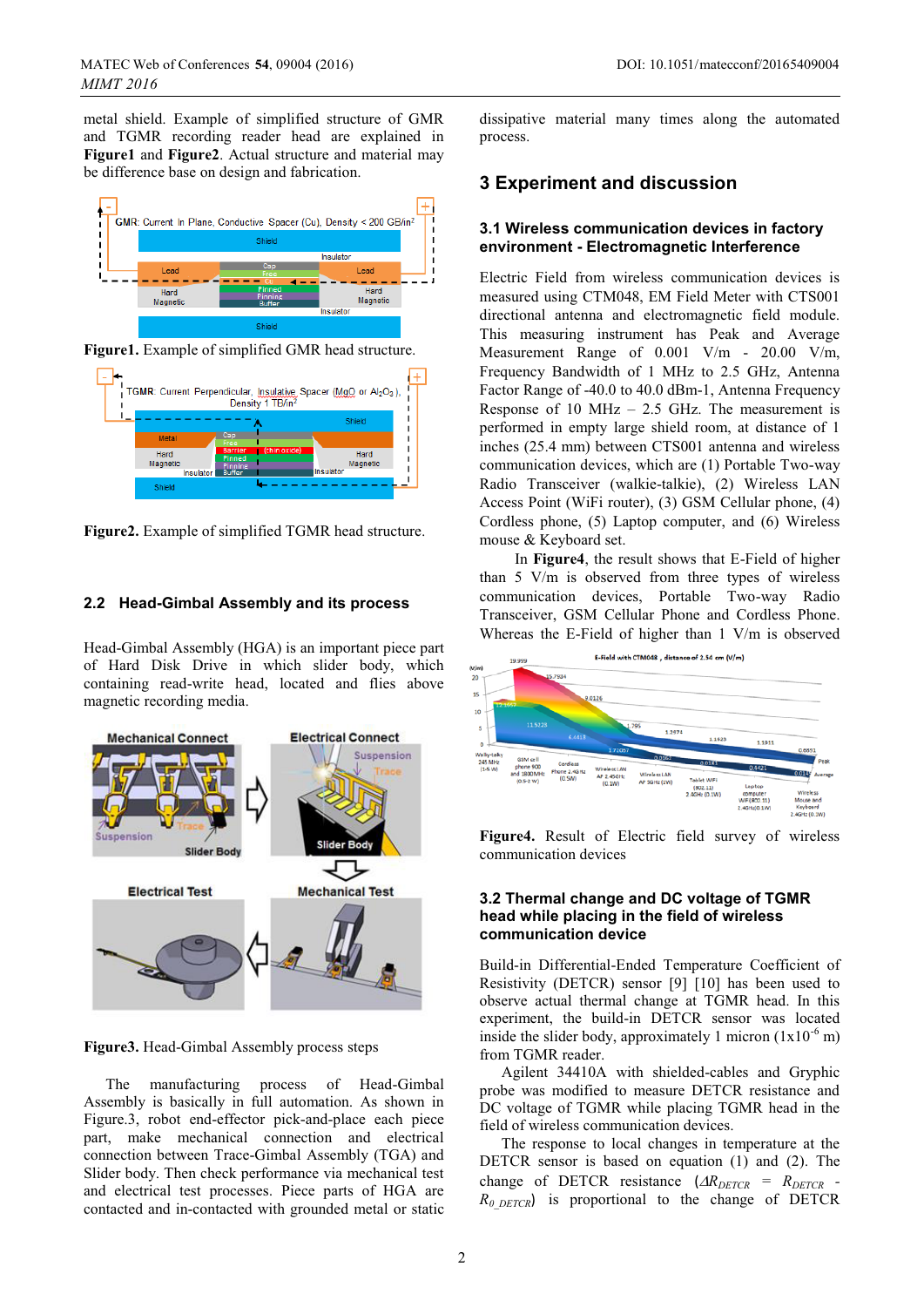metal shield. Example of simplified structure of GMR and TGMR recording reader head are explained in **Figure1** and **Figure2**. Actual structure and material may be difference base on design and fabrication.



**Figure1.** Example of simplified GMR head structure.



**Figure2.** Example of simplified TGMR head structure.

### **2.2 Head-Gimbal Assembly and its process**

Head-Gimbal Assembly (HGA) is an important piece part of Hard Disk Drive in which slider body, which containing read-write head, located and flies above magnetic recording media.



**Figure3.** Head-Gimbal Assembly process steps

The manufacturing process of Head-Gimbal Assembly is basically in full automation. As shown in Figure.3, robot end-effector pick-and-place each piece part, make mechanical connection and electrical connection between Trace-Gimbal Assembly (TGA) and Slider body. Then check performance via mechanical test and electrical test processes. Piece parts of HGA are contacted and in-contacted with grounded metal or static dissipative material many times along the automated process.

# **3 Experiment and discussion**

### **3.1 Wireless communication devices in factory environment - Electromagnetic Interference**

Electric Field from wireless communication devices is measured using CTM048, EM Field Meter with CTS001 directional antenna and electromagnetic field module. This measuring instrument has Peak and Average Measurement Range of 0.001 V/m - 20.00 V/m, Frequency Bandwidth of 1 MHz to 2.5 GHz, Antenna Factor Range of -40.0 to 40.0 dBm-1, Antenna Frequency Response of 10 MHz  $- 2.5$  GHz. The measurement is performed in empty large shield room, at distance of 1 inches (25.4 mm) between CTS001 antenna and wireless communication devices, which are (1) Portable Two-way Radio Transceiver (walkie-talkie), (2) Wireless LAN Access Point (WiFi router), (3) GSM Cellular phone, (4) Cordless phone, (5) Laptop computer, and (6) Wireless mouse & Keyboard set.

 In **Figure4**, the result shows that E-Field of higher than 5 V/m is observed from three types of wireless communication devices, Portable Two-way Radio Transceiver, GSM Cellular Phone and Cordless Phone. Whereas the E-Field of higher than 1 V/m is observed



**Figure4.** Result of Electric field survey of wireless communication devices

#### **3.2 Thermal change and DC voltage of TGMR head while placing in the field of wireless communication device**

Build-in Differential-Ended Temperature Coefficient of Resistivity (DETCR) sensor [9] [10] has been used to observe actual thermal change at TGMR head. In this experiment, the build-in DETCR sensor was located inside the slider body, approximately 1 micron  $(1x10^{-6}$  m) from TGMR reader.

Agilent 34410A with shielded-cables and Gryphic probe was modified to measure DETCR resistance and DC voltage of TGMR while placing TGMR head in the field of wireless communication devices.

The response to local changes in temperature at the DETCR sensor is based on equation (1) and (2). The change of DETCR resistance  $(\Delta R_{DETCR} = R_{DETCR}$  -*R0\_DETCR*) is proportional to the change of DETCR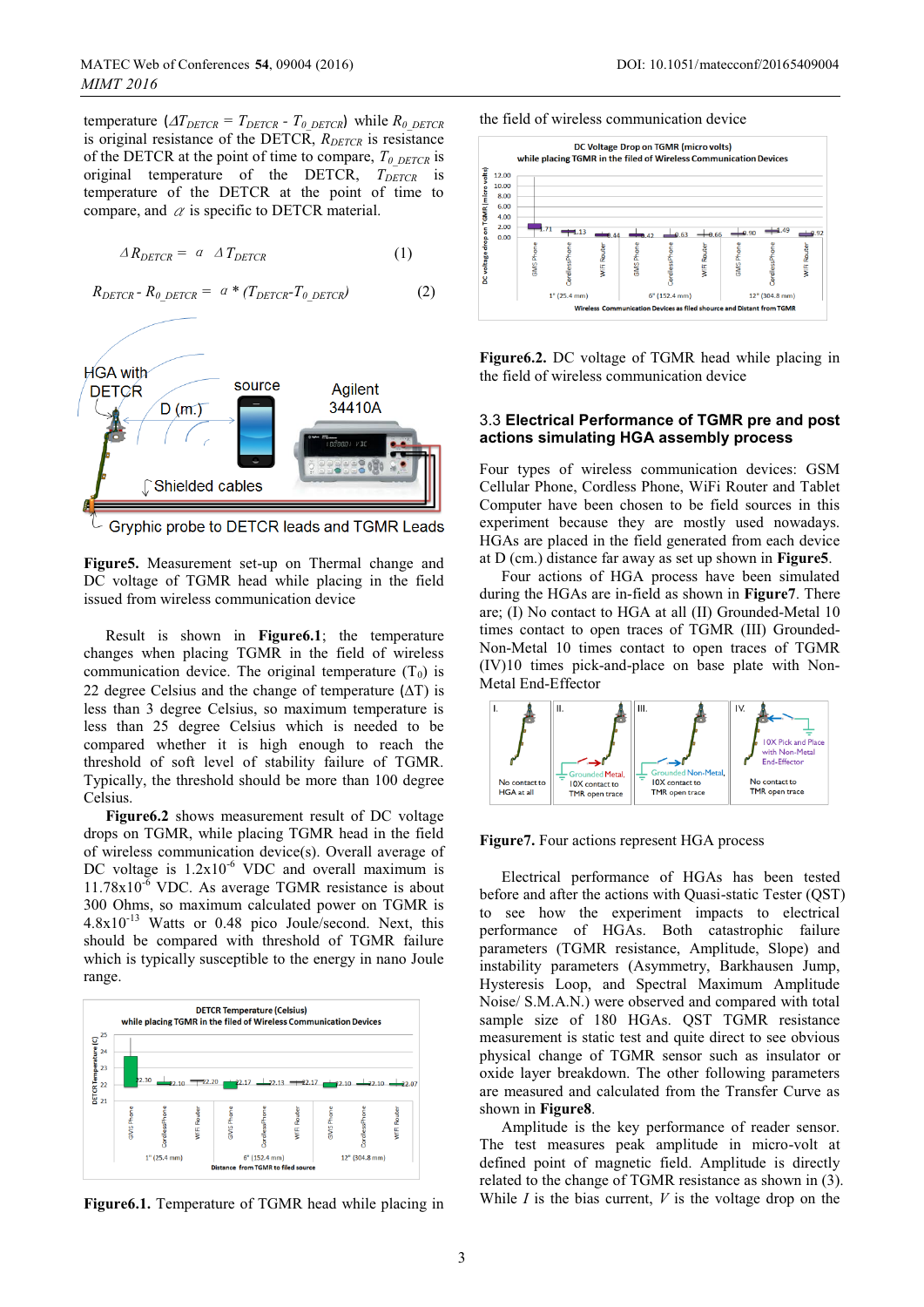temperature  $(T_{DETCR} = T_{DETCR} - T_0_{DETCR})$  while  $R_0_{DETCR}$ is original resistance of the DETCR, *R<sub>DETCR</sub>* is resistance of the DETCR at the point of time to compare,  $T_{0\text{ DETCR}}$  is original temperature of the DETCR,  $T_{DETCR}$  is temperature of the DETCR at the point of time to compare, and  $\alpha$  is specific to DETCR material.

$$
\Delta R_{DETCR} = a \Delta T_{DETCR} \tag{1}
$$

$$
R_{DETCR} - R_{0\_DETCR} = a * (T_{DETCR} - T_{0\_DETCR})
$$
 (2)



Gryphic probe to DETCR leads and TGMR Leads

**Figure5.** Measurement set-up on Thermal change and DC voltage of TGMR head while placing in the field issued from wireless communication device

Result is shown in **Figure6.1**; the temperature changes when placing TGMR in the field of wireless communication device. The original temperature  $(T_0)$  is 22 degree Celsius and the change of temperature  $(AT)$  is less than 3 degree Celsius, so maximum temperature is less than 25 degree Celsius which is needed to be compared whether it is high enough to reach the threshold of soft level of stability failure of TGMR. Typically, the threshold should be more than 100 degree Celsius.

**Figure6.2** shows measurement result of DC voltage drops on TGMR, while placing TGMR head in the field of wireless communication device(s). Overall average of DC voltage is  $1.2x10^{-6}$  VDC and overall maximum is  $11.78x10^{-6}$  VDC. As average TGMR resistance is about 300 Ohms, so maximum calculated power on TGMR is 4.8x10-13 Watts or 0.48 pico Joule/second. Next, this should be compared with threshold of TGMR failure which is typically susceptible to the energy in nano Joule range.









**Figure6.2.** DC voltage of TGMR head while placing in the field of wireless communication device

#### 3.3 **Electrical Performance of TGMR pre and post actions simulating HGA assembly process**

Four types of wireless communication devices: GSM Cellular Phone, Cordless Phone, WiFi Router and Tablet Computer have been chosen to be field sources in this experiment because they are mostly used nowadays. HGAs are placed in the field generated from each device at D (cm.) distance far away as set up shown in **Figure5**.

Four actions of HGA process have been simulated during the HGAs are in-field as shown in **Figure7**. There are; (I) No contact to HGA at all (II) Grounded-Metal 10 times contact to open traces of TGMR (III) Grounded-Non-Metal 10 times contact to open traces of TGMR (IV)10 times pick-and-place on base plate with Non-Metal End-Effector



**Figure7.** Four actions represent HGA process

Electrical performance of HGAs has been tested before and after the actions with Quasi-static Tester (QST) to see how the experiment impacts to electrical performance of HGAs. Both catastrophic failure parameters (TGMR resistance, Amplitude, Slope) and instability parameters (Asymmetry, Barkhausen Jump, Hysteresis Loop, and Spectral Maximum Amplitude Noise/ S.M.A.N.) were observed and compared with total sample size of 180 HGAs. QST TGMR resistance measurement is static test and quite direct to see obvious physical change of TGMR sensor such as insulator or oxide layer breakdown. The other following parameters are measured and calculated from the Transfer Curve as shown in **Figure8**.

Amplitude is the key performance of reader sensor. The test measures peak amplitude in micro-volt at defined point of magnetic field. Amplitude is directly related to the change of TGMR resistance as shown in (3). While *I* is the bias current, *V* is the voltage drop on the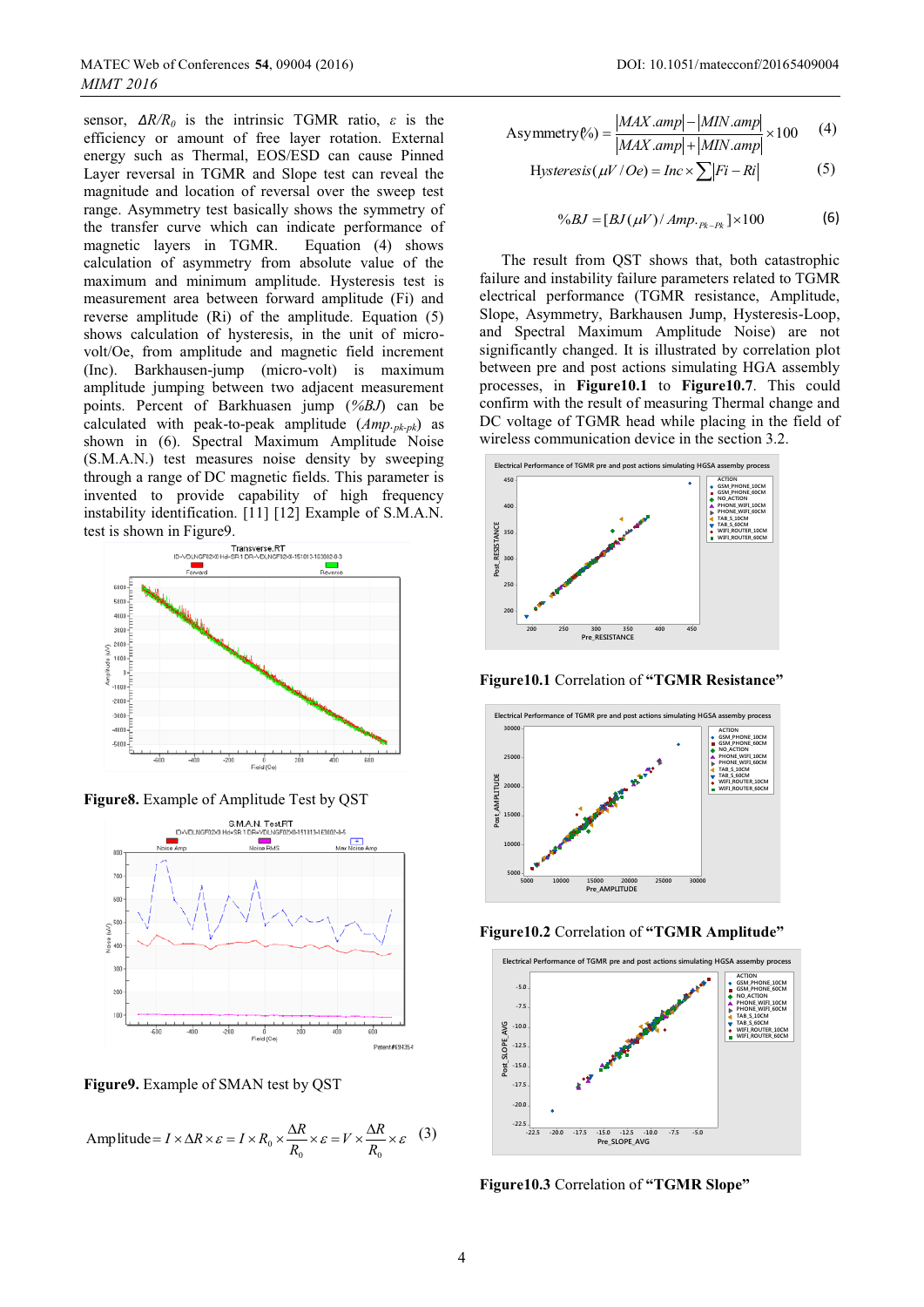sensor,  $\Delta R/R_0$  is the intrinsic TGMR ratio,  $\varepsilon$  is the efficiency or amount of free layer rotation. External energy such as Thermal, EOS/ESD can cause Pinned Layer reversal in TGMR and Slope test can reveal the magnitude and location of reversal over the sweep test range. Asymmetry test basically shows the symmetry of the transfer curve which can indicate performance of magnetic layers in TGMR. Equation (4) shows magnetic layers in TGMR. calculation of asymmetry from absolute value of the maximum and minimum amplitude. Hysteresis test is measurement area between forward amplitude (Fi) and reverse amplitude (Ri) of the amplitude. Equation (5) shows calculation of hysteresis, in the unit of microvolt/Oe, from amplitude and magnetic field increment (Inc). Barkhausen-jump (micro-volt) is maximum amplitude jumping between two adjacent measurement points. Percent of Barkhuasen jump (*%BJ*) can be calculated with peak-to-peak amplitude (*Amp.pk-pk*) as shown in (6). Spectral Maximum Amplitude Noise (S.M.A.N.) test measures noise density by sweeping through a range of DC magnetic fields. This parameter is invented to provide capability of high frequency instability identification. [11] [12] Example of S.M.A.N. test is shown in Figure9.





**Figure9.** Example of SMAN test by QST

Amp little = 
$$
I \times \Delta R \times \varepsilon = I \times R_0 \times \frac{\Delta R}{R_0} \times \varepsilon = V \times \frac{\Delta R}{R_0} \times \varepsilon
$$
 (3)

Asymmetry (%) = 
$$
\frac{|MAX.amp| - |MIN.amp|}{|MAX.amp| + |MIN.amp|} \times 100
$$
 (4)

$$
Hysteresis(\mu V/Oe) = Inc \times \sum |Fi-Ri|
$$
 (5)

$$
\%BJ = [BJ(\mu V)/Amp._{pk-lk}] \times 100
$$
 (6)

The result from QST shows that, both catastrophic failure and instability failure parameters related to TGMR electrical performance (TGMR resistance, Amplitude, Slope, Asymmetry, Barkhausen Jump, Hysteresis-Loop, and Spectral Maximum Amplitude Noise) are not significantly changed. It is illustrated by correlation plot between pre and post actions simulating HGA assembly processes, in **Figure10.1** to **Figure10.7**. This could confirm with the result of measuring Thermal change and DC voltage of TGMR head while placing in the field of wireless communication device in the section 3.2.



**Figure10.1** Correlation of **"TGMR Resistance"** 







**Figure10.3** Correlation of **"TGMR Slope"**